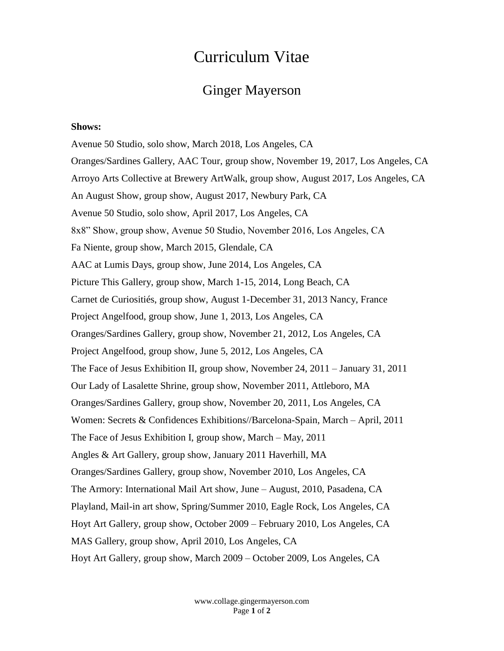## Curriculum Vitae

### Ginger Mayerson

#### **Shows:**

Avenue 50 Studio, solo show, March 2018, Los Angeles, CA Oranges/Sardines Gallery, AAC Tour, group show, November 19, 2017, Los Angeles, CA Arroyo Arts Collective at Brewery ArtWalk, group show, August 2017, Los Angeles, CA An August Show, group show, August 2017, Newbury Park, CA Avenue 50 Studio, solo show, April 2017, Los Angeles, CA 8x8" Show, group show, Avenue 50 Studio, November 2016, Los Angeles, CA Fa Niente, group show, March 2015, Glendale, CA AAC at Lumis Days, group show, June 2014, Los Angeles, CA Picture This Gallery, group show, March 1-15, 2014, Long Beach, CA Carnet de Curiositiés, group show, August 1-December 31, 2013 Nancy, France Project Angelfood, group show, June 1, 2013, Los Angeles, CA Oranges/Sardines Gallery, group show, November 21, 2012, Los Angeles, CA Project Angelfood, group show, June 5, 2012, Los Angeles, CA The Face of Jesus Exhibition II, group show, November 24, 2011 – January 31, 2011 Our Lady of Lasalette Shrine, group show, November 2011, Attleboro, MA Oranges/Sardines Gallery, group show, November 20, 2011, Los Angeles, CA Women: Secrets & Confidences Exhibitions//Barcelona-Spain, March – April, 2011 The Face of Jesus Exhibition I, group show, March – May, 2011 Angles & Art Gallery, group show, January 2011 Haverhill, MA Oranges/Sardines Gallery, group show, November 2010, Los Angeles, CA The Armory: International Mail Art show, June – August, 2010, Pasadena, CA Playland, Mail-in art show, Spring/Summer 2010, Eagle Rock, Los Angeles, CA Hoyt Art Gallery, group show, October 2009 – February 2010, Los Angeles, CA MAS Gallery, group show, April 2010, Los Angeles, CA Hoyt Art Gallery, group show, March 2009 – October 2009, Los Angeles, CA